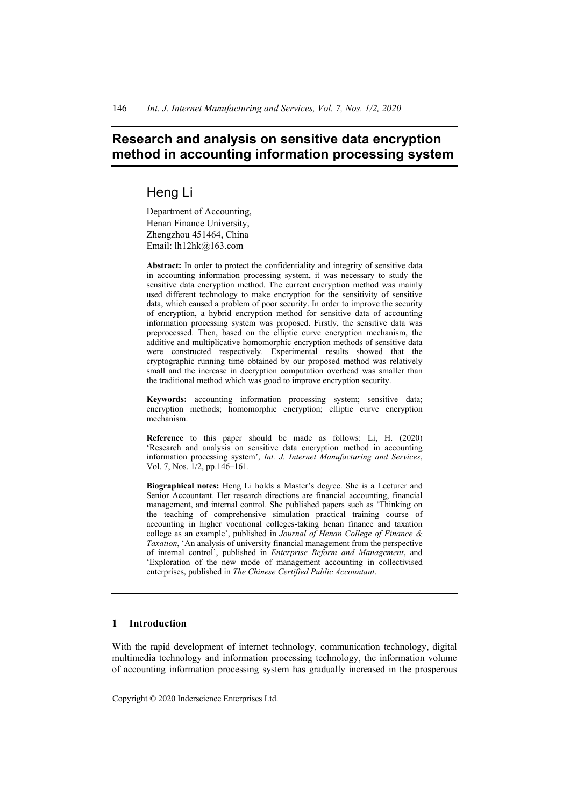## **Research and analysis on sensitive data encryption method in accounting information processing system**

# Heng Li

Department of Accounting, Henan Finance University, Zhengzhou 451464, China Email: lh12hk@163.com

**Abstract:** In order to protect the confidentiality and integrity of sensitive data in accounting information processing system, it was necessary to study the sensitive data encryption method. The current encryption method was mainly used different technology to make encryption for the sensitivity of sensitive data, which caused a problem of poor security. In order to improve the security of encryption, a hybrid encryption method for sensitive data of accounting information processing system was proposed. Firstly, the sensitive data was preprocessed. Then, based on the elliptic curve encryption mechanism, the additive and multiplicative homomorphic encryption methods of sensitive data were constructed respectively. Experimental results showed that the cryptographic running time obtained by our proposed method was relatively small and the increase in decryption computation overhead was smaller than the traditional method which was good to improve encryption security.

**Keywords:** accounting information processing system; sensitive data; encryption methods; homomorphic encryption; elliptic curve encryption mechanism.

**Reference** to this paper should be made as follows: Li, H. (2020) 'Research and analysis on sensitive data encryption method in accounting information processing system', *Int. J. Internet Manufacturing and Services*, Vol. 7, Nos. 1/2, pp.146–161.

**Biographical notes:** Heng Li holds a Master's degree. She is a Lecturer and Senior Accountant. Her research directions are financial accounting, financial management, and internal control. She published papers such as 'Thinking on the teaching of comprehensive simulation practical training course of accounting in higher vocational colleges-taking henan finance and taxation college as an example', published in *Journal of Henan College of Finance & Taxation*, 'An analysis of university financial management from the perspective of internal control', published in *Enterprise Reform and Management*, and 'Exploration of the new mode of management accounting in collectivised enterprises, published in *The Chinese Certified Public Accountant*.

## **1 Introduction**

With the rapid development of internet technology, communication technology, digital multimedia technology and information processing technology, the information volume of accounting information processing system has gradually increased in the prosperous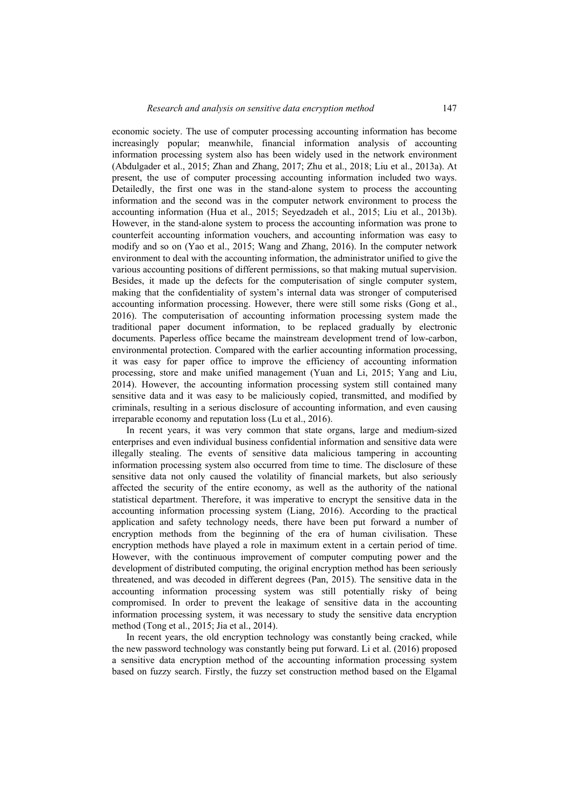economic society. The use of computer processing accounting information has become increasingly popular; meanwhile, financial information analysis of accounting information processing system also has been widely used in the network environment (Abdulgader et al., 2015; Zhan and Zhang, 2017; Zhu et al., 2018; Liu et al., 2013a). At present, the use of computer processing accounting information included two ways. Detailedly, the first one was in the stand-alone system to process the accounting information and the second was in the computer network environment to process the accounting information (Hua et al., 2015; Seyedzadeh et al., 2015; Liu et al., 2013b). However, in the stand-alone system to process the accounting information was prone to counterfeit accounting information vouchers, and accounting information was easy to modify and so on (Yao et al., 2015; Wang and Zhang, 2016). In the computer network environment to deal with the accounting information, the administrator unified to give the various accounting positions of different permissions, so that making mutual supervision. Besides, it made up the defects for the computerisation of single computer system, making that the confidentiality of system's internal data was stronger of computerised accounting information processing. However, there were still some risks (Gong et al., 2016). The computerisation of accounting information processing system made the traditional paper document information, to be replaced gradually by electronic documents. Paperless office became the mainstream development trend of low-carbon, environmental protection. Compared with the earlier accounting information processing, it was easy for paper office to improve the efficiency of accounting information processing, store and make unified management (Yuan and Li, 2015; Yang and Liu, 2014). However, the accounting information processing system still contained many sensitive data and it was easy to be maliciously copied, transmitted, and modified by criminals, resulting in a serious disclosure of accounting information, and even causing irreparable economy and reputation loss (Lu et al., 2016).

In recent years, it was very common that state organs, large and medium-sized enterprises and even individual business confidential information and sensitive data were illegally stealing. The events of sensitive data malicious tampering in accounting information processing system also occurred from time to time. The disclosure of these sensitive data not only caused the volatility of financial markets, but also seriously affected the security of the entire economy, as well as the authority of the national statistical department. Therefore, it was imperative to encrypt the sensitive data in the accounting information processing system (Liang, 2016). According to the practical application and safety technology needs, there have been put forward a number of encryption methods from the beginning of the era of human civilisation. These encryption methods have played a role in maximum extent in a certain period of time. However, with the continuous improvement of computer computing power and the development of distributed computing, the original encryption method has been seriously threatened, and was decoded in different degrees (Pan, 2015). The sensitive data in the accounting information processing system was still potentially risky of being compromised. In order to prevent the leakage of sensitive data in the accounting information processing system, it was necessary to study the sensitive data encryption method (Tong et al., 2015; Jia et al., 2014).

In recent years, the old encryption technology was constantly being cracked, while the new password technology was constantly being put forward. Li et al. (2016) proposed a sensitive data encryption method of the accounting information processing system based on fuzzy search. Firstly, the fuzzy set construction method based on the Elgamal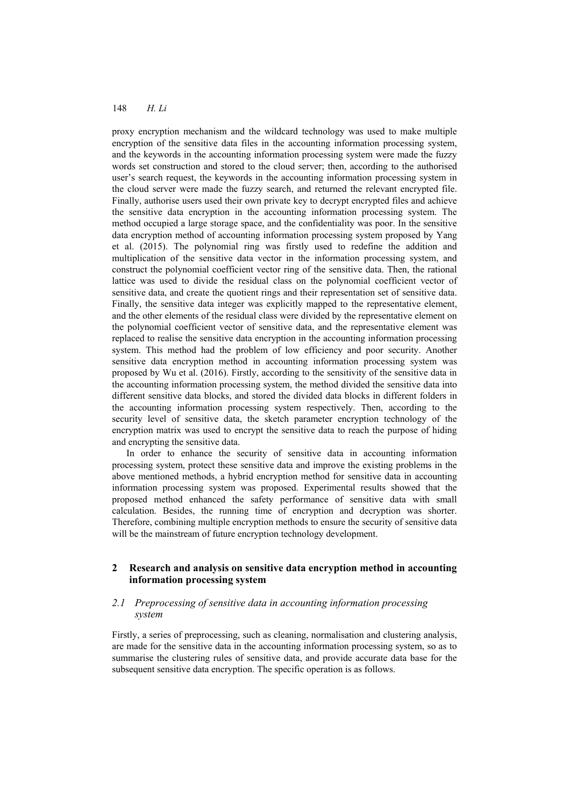proxy encryption mechanism and the wildcard technology was used to make multiple encryption of the sensitive data files in the accounting information processing system, and the keywords in the accounting information processing system were made the fuzzy words set construction and stored to the cloud server; then, according to the authorised user's search request, the keywords in the accounting information processing system in the cloud server were made the fuzzy search, and returned the relevant encrypted file. Finally, authorise users used their own private key to decrypt encrypted files and achieve the sensitive data encryption in the accounting information processing system. The method occupied a large storage space, and the confidentiality was poor. In the sensitive data encryption method of accounting information processing system proposed by Yang et al. (2015). The polynomial ring was firstly used to redefine the addition and multiplication of the sensitive data vector in the information processing system, and construct the polynomial coefficient vector ring of the sensitive data. Then, the rational lattice was used to divide the residual class on the polynomial coefficient vector of sensitive data, and create the quotient rings and their representation set of sensitive data. Finally, the sensitive data integer was explicitly mapped to the representative element, and the other elements of the residual class were divided by the representative element on the polynomial coefficient vector of sensitive data, and the representative element was replaced to realise the sensitive data encryption in the accounting information processing system. This method had the problem of low efficiency and poor security. Another sensitive data encryption method in accounting information processing system was proposed by Wu et al. (2016). Firstly, according to the sensitivity of the sensitive data in the accounting information processing system, the method divided the sensitive data into different sensitive data blocks, and stored the divided data blocks in different folders in the accounting information processing system respectively. Then, according to the security level of sensitive data, the sketch parameter encryption technology of the encryption matrix was used to encrypt the sensitive data to reach the purpose of hiding and encrypting the sensitive data.

In order to enhance the security of sensitive data in accounting information processing system, protect these sensitive data and improve the existing problems in the above mentioned methods, a hybrid encryption method for sensitive data in accounting information processing system was proposed. Experimental results showed that the proposed method enhanced the safety performance of sensitive data with small calculation. Besides, the running time of encryption and decryption was shorter. Therefore, combining multiple encryption methods to ensure the security of sensitive data will be the mainstream of future encryption technology development.

## **2 Research and analysis on sensitive data encryption method in accounting information processing system**

## *2.1 Preprocessing of sensitive data in accounting information processing system*

Firstly, a series of preprocessing, such as cleaning, normalisation and clustering analysis, are made for the sensitive data in the accounting information processing system, so as to summarise the clustering rules of sensitive data, and provide accurate data base for the subsequent sensitive data encryption. The specific operation is as follows.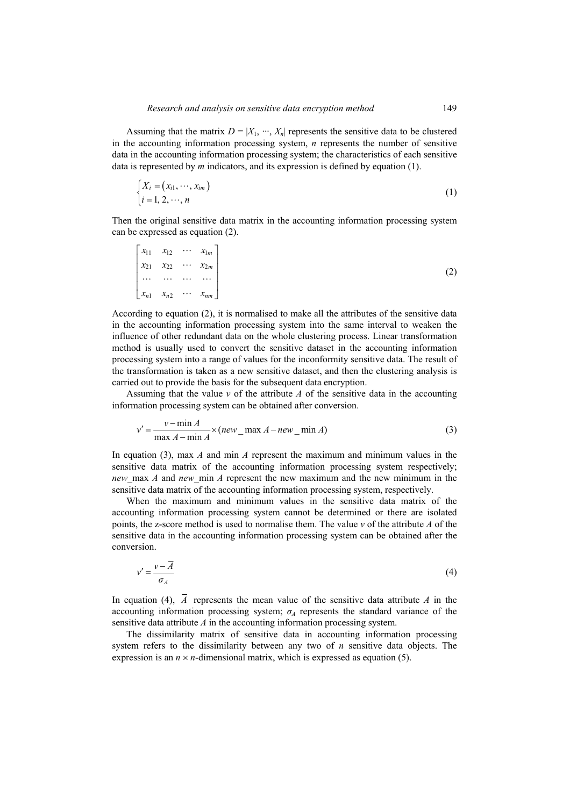Assuming that the matrix  $D = |X_1, \dots, X_n|$  represents the sensitive data to be clustered in the accounting information processing system, *n* represents the number of sensitive data in the accounting information processing system; the characteristics of each sensitive data is represented by *m* indicators, and its expression is defined by equation (1).

$$
\begin{cases}\nX_i = (x_{i1}, \dots, x_{im}) \\
i = 1, 2, \dots, n\n\end{cases}
$$
\n(1)

Then the original sensitive data matrix in the accounting information processing system can be expressed as equation (2).

$$
\begin{bmatrix} x_{11} & x_{12} & \cdots & x_{1m} \\ x_{21} & x_{22} & \cdots & x_{2m} \\ \cdots & \cdots & \cdots & \cdots \\ x_{n1} & x_{n2} & \cdots & x_{nm} \end{bmatrix}
$$
 (2)

According to equation (2), it is normalised to make all the attributes of the sensitive data in the accounting information processing system into the same interval to weaken the influence of other redundant data on the whole clustering process. Linear transformation method is usually used to convert the sensitive dataset in the accounting information processing system into a range of values for the inconformity sensitive data. The result of the transformation is taken as a new sensitive dataset, and then the clustering analysis is carried out to provide the basis for the subsequent data encryption.

Assuming that the value *v* of the attribute *A* of the sensitive data in the accounting information processing system can be obtained after conversion.

$$
v' = \frac{v - \min A}{\max A - \min A} \times (new - \max A - new - \min A)
$$
 (3)

In equation (3), max *A* and min *A* represent the maximum and minimum values in the sensitive data matrix of the accounting information processing system respectively; *new*\_max *A* and *new*\_min *A* represent the new maximum and the new minimum in the sensitive data matrix of the accounting information processing system, respectively.

When the maximum and minimum values in the sensitive data matrix of the accounting information processing system cannot be determined or there are isolated points, the z-score method is used to normalise them. The value *v* of the attribute *A* of the sensitive data in the accounting information processing system can be obtained after the conversion.

$$
v' = \frac{v - \overline{A}}{\sigma_A} \tag{4}
$$

In equation (4),  $\overline{A}$  represents the mean value of the sensitive data attribute  $\overline{A}$  in the accounting information processing system;  $\sigma_A$  represents the standard variance of the sensitive data attribute *A* in the accounting information processing system.

The dissimilarity matrix of sensitive data in accounting information processing system refers to the dissimilarity between any two of *n* sensitive data objects. The expression is an  $n \times n$ -dimensional matrix, which is expressed as equation (5).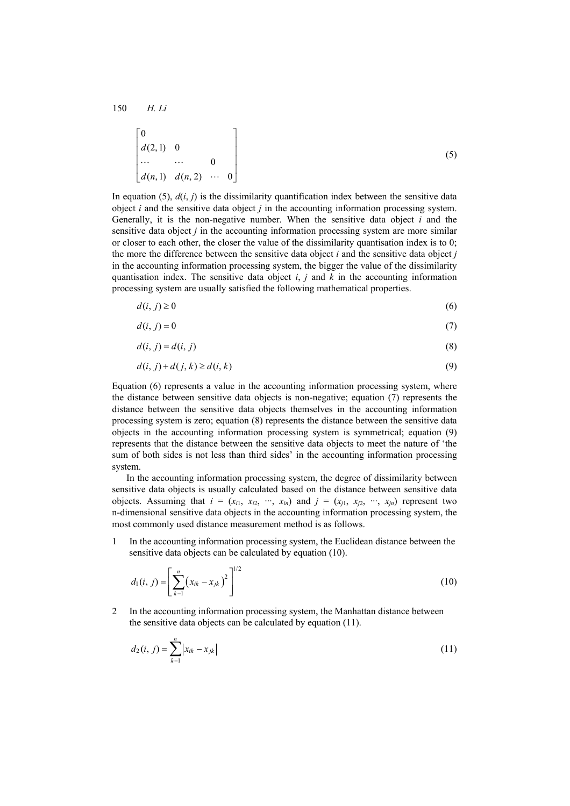150 *H. Li* 

$$
\begin{bmatrix} 0 \\ d(2,1) & 0 \\ \cdots & \cdots & 0 \\ d(n,1) & d(n,2) & \cdots & 0 \end{bmatrix}
$$
 (5)

In equation (5),  $d(i, j)$  is the dissimilarity quantification index between the sensitive data object *i* and the sensitive data object *j* in the accounting information processing system. Generally, it is the non-negative number. When the sensitive data object *i* and the sensitive data object *j* in the accounting information processing system are more similar or closer to each other, the closer the value of the dissimilarity quantisation index is to 0; the more the difference between the sensitive data object *i* and the sensitive data object *j* in the accounting information processing system, the bigger the value of the dissimilarity quantisation index. The sensitive data object  $i$ ,  $j$  and  $k$  in the accounting information processing system are usually satisfied the following mathematical properties.

$$
d(i, j) \ge 0 \tag{6}
$$

$$
d(i, j) = 0 \tag{7}
$$

$$
d(i, j) = d(i, j) \tag{8}
$$

$$
d(i, j) + d(j, k) \ge d(i, k) \tag{9}
$$

Equation (6) represents a value in the accounting information processing system, where the distance between sensitive data objects is non-negative; equation (7) represents the distance between the sensitive data objects themselves in the accounting information processing system is zero; equation (8) represents the distance between the sensitive data objects in the accounting information processing system is symmetrical; equation (9) represents that the distance between the sensitive data objects to meet the nature of 'the sum of both sides is not less than third sides' in the accounting information processing system.

In the accounting information processing system, the degree of dissimilarity between sensitive data objects is usually calculated based on the distance between sensitive data objects. Assuming that  $i = (x_{i1}, x_{i2}, \dots, x_{in})$  and  $j = (x_{j1}, x_{j2}, \dots, x_{jn})$  represent two n-dimensional sensitive data objects in the accounting information processing system, the most commonly used distance measurement method is as follows.

1 In the accounting information processing system, the Euclidean distance between the sensitive data objects can be calculated by equation (10).

$$
d_1(i, j) = \left[\sum_{k=1}^n (x_{ik} - x_{jk})^2\right]^{1/2}
$$
 (10)

2 In the accounting information processing system, the Manhattan distance between the sensitive data objects can be calculated by equation (11).

$$
d_2(i, j) = \sum_{k=1}^{n} |x_{ik} - x_{jk}|
$$
\n(11)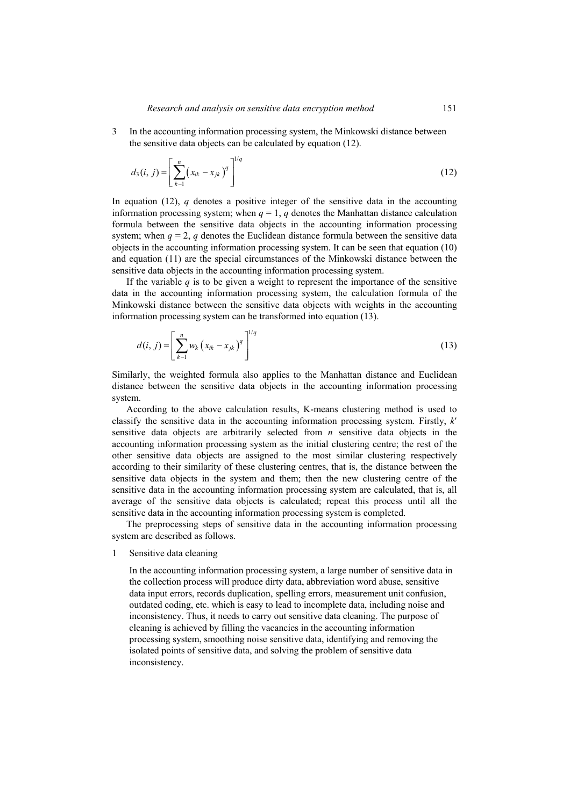3 In the accounting information processing system, the Minkowski distance between the sensitive data objects can be calculated by equation (12).

$$
d_3(i, j) = \left[ \sum_{k=1}^n (x_{ik} - x_{jk})^q \right]^{1/q}
$$
 (12)

In equation  $(12)$ , *q* denotes a positive integer of the sensitive data in the accounting information processing system; when  $q = 1$ ,  $q$  denotes the Manhattan distance calculation formula between the sensitive data objects in the accounting information processing system; when  $q = 2$ , q denotes the Euclidean distance formula between the sensitive data objects in the accounting information processing system. It can be seen that equation (10) and equation (11) are the special circumstances of the Minkowski distance between the sensitive data objects in the accounting information processing system.

If the variable  $q$  is to be given a weight to represent the importance of the sensitive data in the accounting information processing system, the calculation formula of the Minkowski distance between the sensitive data objects with weights in the accounting information processing system can be transformed into equation (13).

$$
d(i, j) = \left[\sum_{k=1}^{n} w_k (x_{ik} - x_{jk})^q\right]^{1/q}
$$
 (13)

Similarly, the weighted formula also applies to the Manhattan distance and Euclidean distance between the sensitive data objects in the accounting information processing system.

According to the above calculation results, K-means clustering method is used to classify the sensitive data in the accounting information processing system. Firstly, *k*′ sensitive data objects are arbitrarily selected from *n* sensitive data objects in the accounting information processing system as the initial clustering centre; the rest of the other sensitive data objects are assigned to the most similar clustering respectively according to their similarity of these clustering centres, that is, the distance between the sensitive data objects in the system and them; then the new clustering centre of the sensitive data in the accounting information processing system are calculated, that is, all average of the sensitive data objects is calculated; repeat this process until all the sensitive data in the accounting information processing system is completed.

The preprocessing steps of sensitive data in the accounting information processing system are described as follows.

1 Sensitive data cleaning

In the accounting information processing system, a large number of sensitive data in the collection process will produce dirty data, abbreviation word abuse, sensitive data input errors, records duplication, spelling errors, measurement unit confusion, outdated coding, etc. which is easy to lead to incomplete data, including noise and inconsistency. Thus, it needs to carry out sensitive data cleaning. The purpose of cleaning is achieved by filling the vacancies in the accounting information processing system, smoothing noise sensitive data, identifying and removing the isolated points of sensitive data, and solving the problem of sensitive data inconsistency.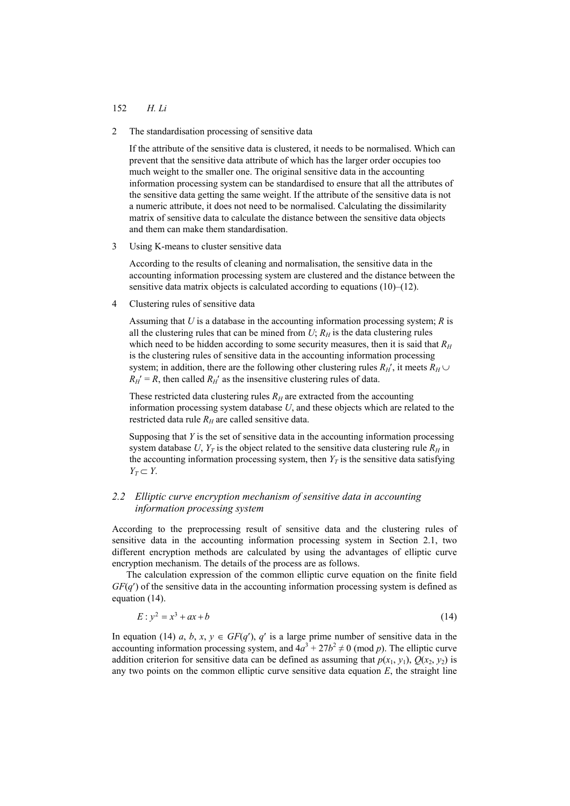## 152 *H. Li*

2 The standardisation processing of sensitive data

If the attribute of the sensitive data is clustered, it needs to be normalised. Which can prevent that the sensitive data attribute of which has the larger order occupies too much weight to the smaller one. The original sensitive data in the accounting information processing system can be standardised to ensure that all the attributes of the sensitive data getting the same weight. If the attribute of the sensitive data is not a numeric attribute, it does not need to be normalised. Calculating the dissimilarity matrix of sensitive data to calculate the distance between the sensitive data objects and them can make them standardisation.

3 Using K-means to cluster sensitive data

According to the results of cleaning and normalisation, the sensitive data in the accounting information processing system are clustered and the distance between the sensitive data matrix objects is calculated according to equations (10)–(12).

4 Clustering rules of sensitive data

Assuming that *U* is a database in the accounting information processing system; *R* is all the clustering rules that can be mined from  $U$ ;  $R_H$  is the data clustering rules which need to be hidden according to some security measures, then it is said that  $R_H$ is the clustering rules of sensitive data in the accounting information processing system; in addition, there are the following other clustering rules  $R_H'$ , it meets  $R_H \cup$  $R_H' = R$ , then called  $R_H'$  as the insensitive clustering rules of data.

These restricted data clustering rules  $R_H$  are extracted from the accounting information processing system database *U*, and these objects which are related to the restricted data rule  $R_H$  are called sensitive data.

Supposing that *Y* is the set of sensitive data in the accounting information processing system database *U*,  $Y_T$  is the object related to the sensitive data clustering rule  $R_H$  in the accounting information processing system, then  $Y_T$  is the sensitive data satisfying *Y<sub>T</sub>* ⊂ *Y*.

## *2.2 Elliptic curve encryption mechanism of sensitive data in accounting information processing system*

According to the preprocessing result of sensitive data and the clustering rules of sensitive data in the accounting information processing system in Section 2.1, two different encryption methods are calculated by using the advantages of elliptic curve encryption mechanism. The details of the process are as follows.

The calculation expression of the common elliptic curve equation on the finite field *GF*(*q*′) of the sensitive data in the accounting information processing system is defined as equation (14).

$$
E: y^2 = x^3 + ax + b \tag{14}
$$

In equation (14)  $a, b, x, y \in GF(q')$ ,  $q'$  is a large prime number of sensitive data in the accounting information processing system, and  $4a^3 + 27b^2 \neq 0$  (mod *p*). The elliptic curve addition criterion for sensitive data can be defined as assuming that  $p(x_1, y_1)$ ,  $Q(x_2, y_2)$  is any two points on the common elliptic curve sensitive data equation *E*, the straight line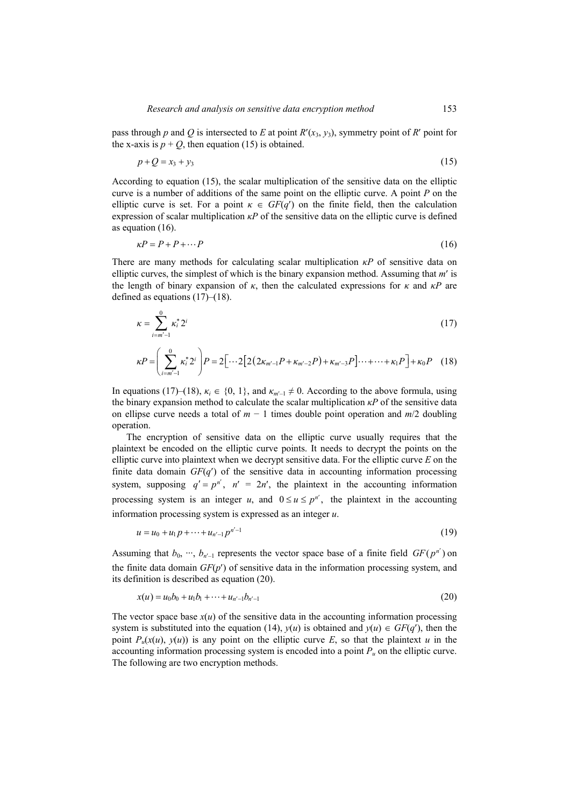pass through *p* and *Q* is intersected to *E* at point  $R'(x_3, y_3)$ , symmetry point of *R'* point for the x-axis is  $p + Q$ , then equation (15) is obtained.

$$
p + Q = x_3 + y_3 \tag{15}
$$

According to equation (15), the scalar multiplication of the sensitive data on the elliptic curve is a number of additions of the same point on the elliptic curve. A point *P* on the elliptic curve is set. For a point  $\kappa \in GF(q')$  on the finite field, then the calculation expression of scalar multiplication  $\kappa P$  of the sensitive data on the elliptic curve is defined as equation (16).

$$
\kappa P = P + P + \cdots P \tag{16}
$$

There are many methods for calculating scalar multiplication *κP* of sensitive data on elliptic curves, the simplest of which is the binary expansion method. Assuming that *m*′ is the length of binary expansion of *κ*, then the calculated expressions for *κ* and *κP* are defined as equations (17)–(18).

$$
\kappa = \sum_{i=m'-1}^{0} \kappa_i^* 2^i \tag{17}
$$

$$
\kappa P = \left(\sum_{i=m'-1}^{0} \kappa_i^* 2^i\right) P = 2 \left[ \cdots 2 \left[ 2 \left( 2 \kappa_{m'-1} P + \kappa_{m'-2} P \right) + \kappa_{m'-3} P \right] \cdots + \cdots + \kappa_1 P \right] + \kappa_0 P \quad (18)
$$

In equations (17)–(18),  $\kappa_i \in \{0, 1\}$ , and  $\kappa_{m'-1} \neq 0$ . According to the above formula, using the binary expansion method to calculate the scalar multiplication *κP* of the sensitive data on ellipse curve needs a total of *m* − 1 times double point operation and *m*/2 doubling operation.

The encryption of sensitive data on the elliptic curve usually requires that the plaintext be encoded on the elliptic curve points. It needs to decrypt the points on the elliptic curve into plaintext when we decrypt sensitive data. For the elliptic curve *E* on the finite data domain  $GF(q')$  of the sensitive data in accounting information processing system, supposing  $q' = p^{n'}$ ,  $n' = 2n'$ , the plaintext in the accounting information processing system is an integer *u*, and  $0 \le u \le p^{n'}$ , the plaintext in the accounting information processing system is expressed as an integer *u*.

$$
u = u_0 + u_1 p + \dots + u_{n'-1} p^{n'-1} \tag{19}
$$

Assuming that  $b_0$ ,  $\cdots$ ,  $b_{n' - 1}$  represents the vector space base of a finite field  $GF(p^{n'})$  on the finite data domain  $GF(p')$  of sensitive data in the information processing system, and its definition is described as equation (20).

$$
x(u) = u_0 b_0 + u_1 b_1 + \dots + u_{n'-1} b_{n'-1}
$$
\n(20)

The vector space base  $x(u)$  of the sensitive data in the accounting information processing system is substituted into the equation (14),  $y(u)$  is obtained and  $y(u) \in GF(q')$ , then the point  $P_u(x(u), y(u))$  is any point on the elliptic curve *E*, so that the plaintext *u* in the accounting information processing system is encoded into a point  $P_u$  on the elliptic curve. The following are two encryption methods.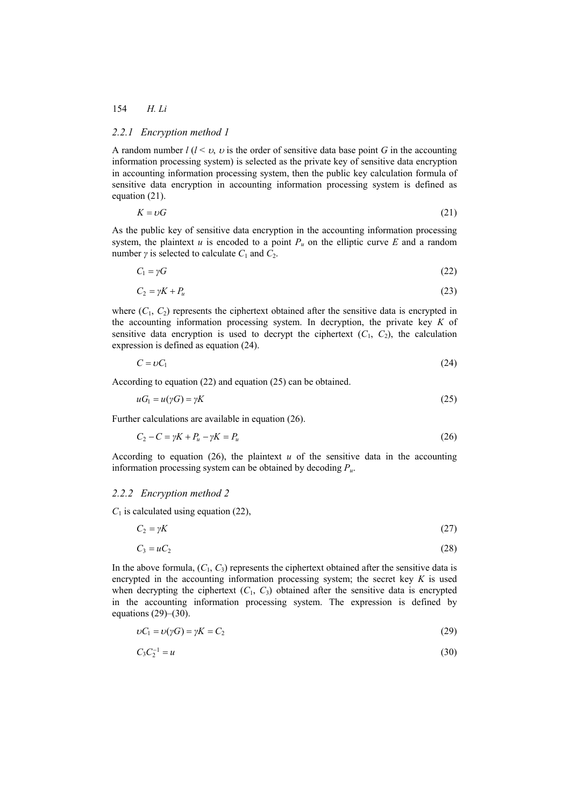#### 154 *H. Li*

#### *2.2.1 Encryption method 1*

A random number  $l$  ( $l < v$ , v is the order of sensitive data base point G in the accounting information processing system) is selected as the private key of sensitive data encryption in accounting information processing system, then the public key calculation formula of sensitive data encryption in accounting information processing system is defined as equation (21).

$$
K = \nu G \tag{21}
$$

As the public key of sensitive data encryption in the accounting information processing system, the plaintext  $u$  is encoded to a point  $P_u$  on the elliptic curve  $E$  and a random number  $\gamma$  is selected to calculate  $C_1$  and  $C_2$ .

$$
C_1 = \gamma G \tag{22}
$$

$$
C_2 = \gamma K + P_u \tag{23}
$$

where  $(C_1, C_2)$  represents the ciphertext obtained after the sensitive data is encrypted in the accounting information processing system. In decryption, the private key *K* of sensitive data encryption is used to decrypt the ciphertext  $(C_1, C_2)$ , the calculation expression is defined as equation (24).

$$
C = \nu C_1 \tag{24}
$$

According to equation (22) and equation (25) can be obtained.

$$
uG_1 = u(\gamma G) = \gamma K \tag{25}
$$

Further calculations are available in equation (26).

$$
C_2 - C = \gamma K + P_u - \gamma K = P_u \tag{26}
$$

According to equation  $(26)$ , the plaintext *u* of the sensitive data in the accounting information processing system can be obtained by decoding *Pu*.

#### *2.2.2 Encryption method 2*

 $C_1$  is calculated using equation (22),

$$
C_2 = \gamma K \tag{27}
$$

$$
C_3 = uC_2 \tag{28}
$$

In the above formula,  $(C_1, C_3)$  represents the ciphertext obtained after the sensitive data is encrypted in the accounting information processing system; the secret key *K* is used when decrypting the ciphertext  $(C_1, C_3)$  obtained after the sensitive data is encrypted in the accounting information processing system. The expression is defined by equations  $(29)$ – $(30)$ .

$$
\nu C_1 = \nu(\gamma G) = \gamma K = C_2 \tag{29}
$$

$$
C_3 C_2^{-1} = u \tag{30}
$$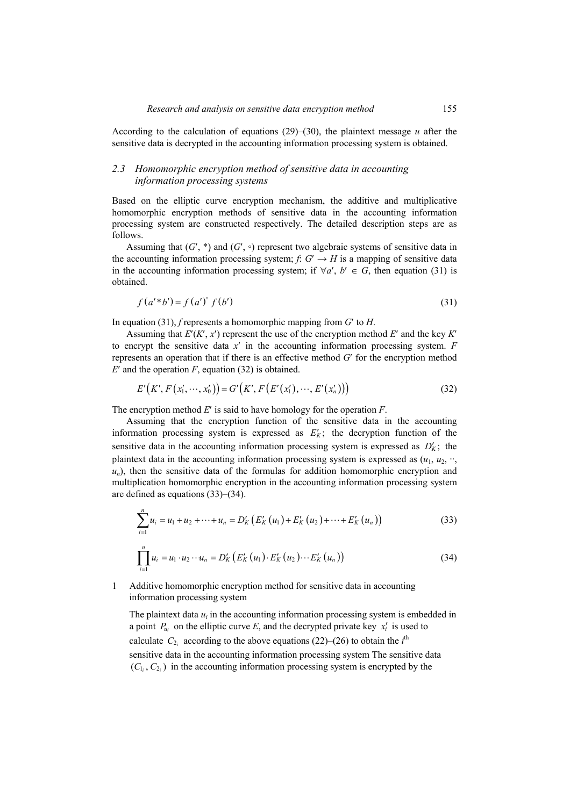According to the calculation of equations  $(29)$ – $(30)$ , the plaintext message *u* after the sensitive data is decrypted in the accounting information processing system is obtained.

## *2.3 Homomorphic encryption method of sensitive data in accounting information processing systems*

Based on the elliptic curve encryption mechanism, the additive and multiplicative homomorphic encryption methods of sensitive data in the accounting information processing system are constructed respectively. The detailed description steps are as follows.

Assuming that  $(G',*)$  and  $(G', \circ)$  represent two algebraic systems of sensitive data in the accounting information processing system; *f*:  $G' \rightarrow H$  is a mapping of sensitive data in the accounting information processing system; if  $\forall a', b' \in G$ , then equation (31) is obtained.

$$
f(a'^*b') = f(a')^{\circ} f(b')
$$
 (31)

In equation (31), *f* represents a homomorphic mapping from *G*′ to *H*.

Assuming that *E*′(*K*′, *x*′) represent the use of the encryption method *E*′ and the key *K*′ to encrypt the sensitive data *x*′ in the accounting information processing system. *F* represents an operation that if there is an effective method *G*′ for the encryption method *E*′ and the operation *F*, equation (32) is obtained.

$$
E'(K', F(x'_1, \cdots, x'_0)) = G'(K', F(E'(x'_1), \cdots, E'(x'_n)))
$$
\n(32)

The encryption method *E*′ is said to have homology for the operation *F*.

Assuming that the encryption function of the sensitive data in the accounting information processing system is expressed as  $E_K'$ ; the decryption function of the sensitive data in the accounting information processing system is expressed as  $D'_k$ ; the plaintext data in the accounting information processing system is expressed as  $(u_1, u_2, \dots, u_n)$  $u_n$ ), then the sensitive data of the formulas for addition homomorphic encryption and multiplication homomorphic encryption in the accounting information processing system are defined as equations (33)–(34).

$$
\sum_{i=1}^{n} u_i = u_1 + u_2 + \dots + u_n = D'_K \left( E'_K \left( u_1 \right) + E'_K \left( u_2 \right) + \dots + E'_K \left( u_n \right) \right) \tag{33}
$$

$$
\prod_{i=1}^{n} u_i = u_1 \cdot u_2 \cdot u_n = D_K' (E_K'(u_1) \cdot E_K'(u_2) \cdots E_K'(u_n))
$$
\n(34)

## 1 Additive homomorphic encryption method for sensitive data in accounting information processing system

The plaintext data  $u_i$  in the accounting information processing system is embedded in a point  $P_{u_i}$  on the elliptic curve  $E$ , and the decrypted private key  $x'_i$  is used to calculate  $C_{2i}$  according to the above equations (22)–(26) to obtain the  $i<sup>th</sup>$ sensitive data in the accounting information processing system The sensitive data  $(C_{1}, C_{2_i})$  in the accounting information processing system is encrypted by the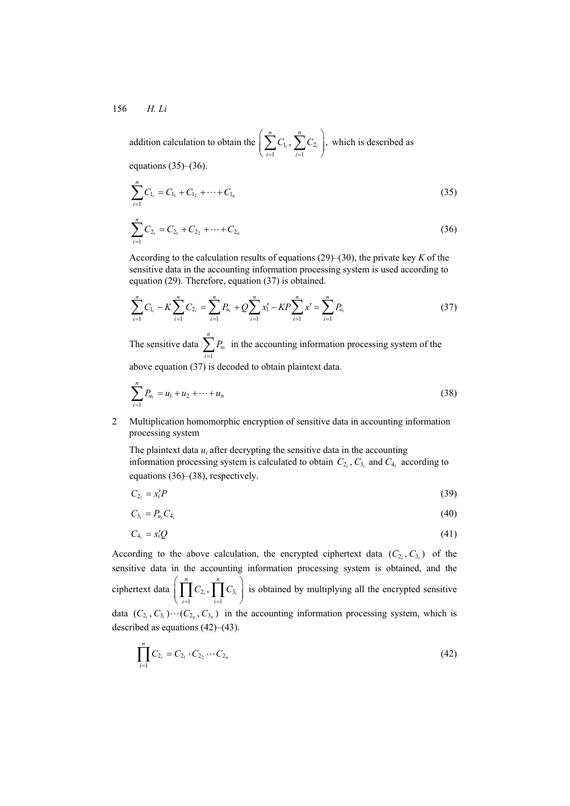addition calculation to obtain the  $\sum C_{1_i}$ ,  $\sum C_2$  $-1$   $i=1$  $_{i}$ ,  $\sum C_{2_{i}}$  |, *n n i i*  $C_{1_i}$ ,  $\sum C_i$  $=1$   $i=$  $\left(\sum_{i=1}^{n} C_{1_i}, \sum_{i=1}^{n} C_{2_i}\right)$ , which is described as

equations  $(35)$ – $(36)$ .

$$
\sum_{i=1}^{n} C_{l_i} = C_{l_1} + C_{l_2} + \dots + C_{l_n}
$$
\n(35)\n
$$
\sum_{i=1}^{n} C_{2_i} = C_{2_1} + C_{2_2} + \dots + C_{2_n}
$$
\n(36)

According to the calculation results of equations (29)–(30), the private key *K* of the sensitive data in the accounting information processing system is used according to equation (29). Therefore, equation (37) is obtained.

$$
\sum_{i=1}^{n} C_{l_i} - K \sum_{i=1}^{n} C_{2_i} = \sum_{i=1}^{n} P_{u_i} + Q \sum_{i=1}^{n} x'_i - KP \sum_{i=1}^{n} x' = \sum_{i=1}^{n} P_{u_i}
$$
(37)

The sensitive data  $\frac{1}{1}$ <sup>*i*</sup> *n u i P*  $\sum_{i=1} P_{u_i}$  in the accounting information processing system of the

above equation (37) is decoded to obtain plaintext data.

$$
\sum_{i=1}^{n} P_{u_i} = u_1 + u_2 + \dots + u_n \tag{38}
$$

2 Multiplication homomorphic encryption of sensitive data in accounting information processing system

The plaintext data  $u_i$  after decrypting the sensitive data in the accounting information processing system is calculated to obtain  $C_{2_i}$ ,  $C_{3_i}$  and  $C_{4_i}$  according to equations (36)–(38), respectively.

$$
C_{2_i} = x_i' P \tag{39}
$$

$$
C_{3_i} = P_{u_i} C_{4_i} \tag{40}
$$

$$
C_{4_i} = x_i'Q \tag{41}
$$

According to the above calculation, the encrypted ciphertext data  $(C_{2_i}, C_{3_i})$  of the sensitive data in the accounting information processing system is obtained, and the ciphertext data  $\left| \begin{array}{c} \end{array} \right|$   $C_{2_i}$ ,  $\left| \begin{array}{c} \end{array} \right|$   $C_3$  $i=1$  $\vert\cdot\vert$   $\vert$   $C_{3}$ *n n i i*  $C_{2_i}$ ,  $\mid\mid$   $C$  $=1$   $i=$  $\left( \prod_{i=1}^{n} C_{2_i}, \prod_{i=1}^{n} C_{3_i} \right)$  is obtained by multiplying all the encrypted sensitive data  $(C_{2_i}, C_{3_i}) \cdots (C_{2_n}, C_{3_n})$  in the accounting information processing system, which is described as equations (42)–(43).

$$
\prod_{i=1}^{n} C_{2_i} = C_{2_1} \cdot C_{2_2} \cdots C_{2_n}
$$
\n(42)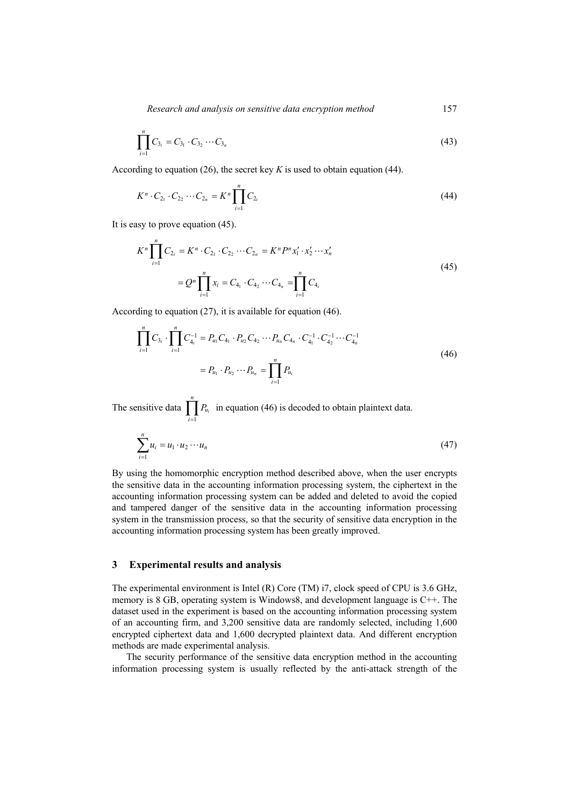$$
\prod_{i=1}^{n} C_{3_i} = C_{3_1} \cdot C_{3_2} \cdots C_{3_n}
$$
\n(43)

According to equation (26), the secret key *K* is used to obtain equation (44).

$$
K^n \cdot C_{2_1} \cdot C_{2_2} \cdots C_{2_n} = K^n \prod_{i=1}^n C_{2_i}
$$
 (44)

It is easy to prove equation (45).

$$
K^{n} \prod_{i=1}^{n} C_{2_{i}} = K^{n} \cdot C_{2_{1}} \cdot C_{2_{2}} \cdots C_{2_{n}} = K^{n} P^{n} x_{1}^{\prime} \cdot x_{2}^{\prime} \cdots x_{n}^{\prime}
$$
  
=  $Q^{n} \prod_{i=1}^{n} x_{i} = C_{4_{1}} \cdot C_{4_{2}} \cdots C_{4_{n}} = \prod_{i=1}^{n} C_{4_{i}}$  (45)

According to equation (27), it is available for equation (46).

$$
\prod_{i=1}^{n} C_{3_i} \cdot \prod_{i=1}^{n} C_{4_i}^{-1} = P_{u_1} C_{4_1} \cdot P_{u_2} C_{4_2} \cdots P_{u_n} C_{4_n} \cdot C_{4_1}^{-1} \cdot C_{4_2}^{-1} \cdots C_{4_n}^{-1}
$$
\n
$$
= P_{u_1} \cdot P_{u_2} \cdots P_{u_n} = \prod_{i=1}^{n} P_{u_i}
$$
\n(46)

The sensitive data  $\prod_{i=1}^{\infty}$ <sup>*ui*</sup> *n u i P*  $\prod_{i=1} P_{u_i}$  in equation (46) is decoded to obtain plaintext data.

$$
\sum_{i=1}^{n} u_i = u_1 \cdot u_2 \cdots u_n \tag{47}
$$

By using the homomorphic encryption method described above, when the user encrypts the sensitive data in the accounting information processing system, the ciphertext in the accounting information processing system can be added and deleted to avoid the copied and tampered danger of the sensitive data in the accounting information processing system in the transmission process, so that the security of sensitive data encryption in the accounting information processing system has been greatly improved.

#### **3 Experimental results and analysis**

The experimental environment is Intel (R) Core (TM) i7, clock speed of CPU is 3.6 GHz, memory is 8 GB, operating system is Windows8, and development language is C++. The dataset used in the experiment is based on the accounting information processing system of an accounting firm, and 3,200 sensitive data are randomly selected, including 1,600 encrypted ciphertext data and 1,600 decrypted plaintext data. And different encryption methods are made experimental analysis.

The security performance of the sensitive data encryption method in the accounting information processing system is usually reflected by the anti-attack strength of the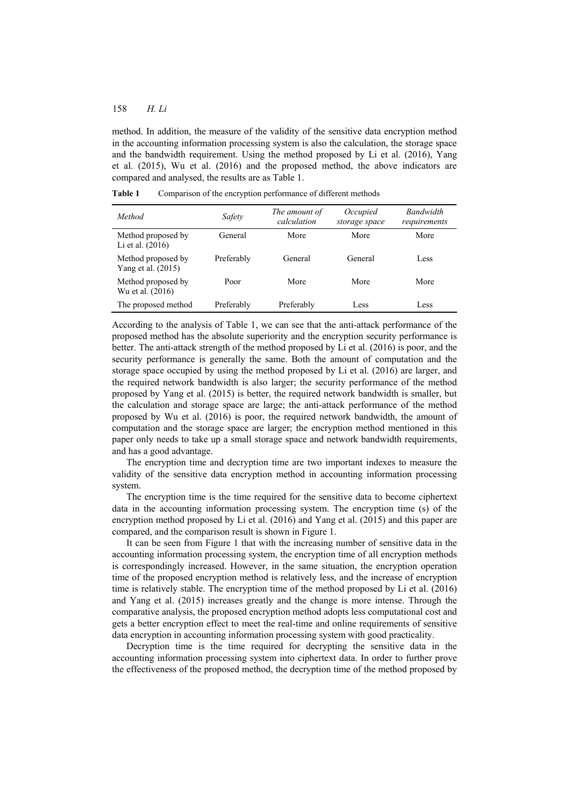method. In addition, the measure of the validity of the sensitive data encryption method in the accounting information processing system is also the calculation, the storage space and the bandwidth requirement. Using the method proposed by Li et al. (2016), Yang et al. (2015), Wu et al. (2016) and the proposed method, the above indicators are compared and analysed, the results are as Table 1.

| Method                                     | Safety     | The amount of<br>calculation | Occupied<br>storage space | <b>Bandwidth</b><br>requirements |
|--------------------------------------------|------------|------------------------------|---------------------------|----------------------------------|
| Method proposed by<br>Li et al. $(2016)$   | General    | More                         | More                      | More                             |
| Method proposed by<br>Yang et al. $(2015)$ | Preferably | General                      | General                   | Less                             |
| Method proposed by<br>Wu et al. (2016)     | Poor       | More                         | More                      | More                             |
| The proposed method                        | Preferably | Preferably                   | Less                      | Less                             |

**Table 1** Comparison of the encryption performance of different methods

According to the analysis of Table 1, we can see that the anti-attack performance of the proposed method has the absolute superiority and the encryption security performance is better. The anti-attack strength of the method proposed by Li et al. (2016) is poor, and the security performance is generally the same. Both the amount of computation and the storage space occupied by using the method proposed by Li et al. (2016) are larger, and the required network bandwidth is also larger; the security performance of the method proposed by Yang et al. (2015) is better, the required network bandwidth is smaller, but the calculation and storage space are large; the anti-attack performance of the method proposed by Wu et al. (2016) is poor, the required network bandwidth, the amount of computation and the storage space are larger; the encryption method mentioned in this paper only needs to take up a small storage space and network bandwidth requirements, and has a good advantage.

The encryption time and decryption time are two important indexes to measure the validity of the sensitive data encryption method in accounting information processing system.

The encryption time is the time required for the sensitive data to become ciphertext data in the accounting information processing system. The encryption time (s) of the encryption method proposed by Li et al. (2016) and Yang et al. (2015) and this paper are compared, and the comparison result is shown in Figure 1.

It can be seen from Figure 1 that with the increasing number of sensitive data in the accounting information processing system, the encryption time of all encryption methods is correspondingly increased. However, in the same situation, the encryption operation time of the proposed encryption method is relatively less, and the increase of encryption time is relatively stable. The encryption time of the method proposed by Li et al. (2016) and Yang et al. (2015) increases greatly and the change is more intense. Through the comparative analysis, the proposed encryption method adopts less computational cost and gets a better encryption effect to meet the real-time and online requirements of sensitive data encryption in accounting information processing system with good practicality.

Decryption time is the time required for decrypting the sensitive data in the accounting information processing system into ciphertext data. In order to further prove the effectiveness of the proposed method, the decryption time of the method proposed by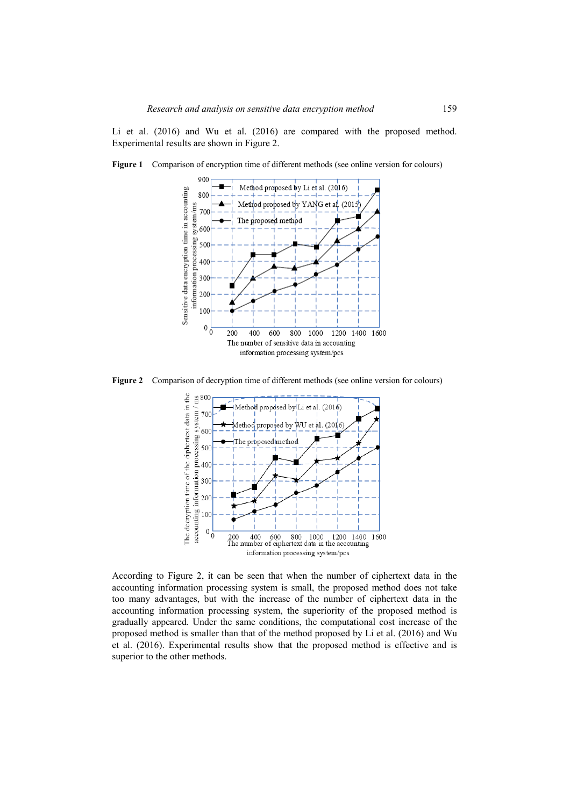Li et al. (2016) and Wu et al. (2016) are compared with the proposed method. Experimental results are shown in Figure 2.

**Figure 1** Comparison of encryption time of different methods (see online version for colours)



**Figure 2** Comparison of decryption time of different methods (see online version for colours)



According to Figure 2, it can be seen that when the number of ciphertext data in the accounting information processing system is small, the proposed method does not take too many advantages, but with the increase of the number of ciphertext data in the accounting information processing system, the superiority of the proposed method is gradually appeared. Under the same conditions, the computational cost increase of the proposed method is smaller than that of the method proposed by Li et al. (2016) and Wu et al. (2016). Experimental results show that the proposed method is effective and is superior to the other methods.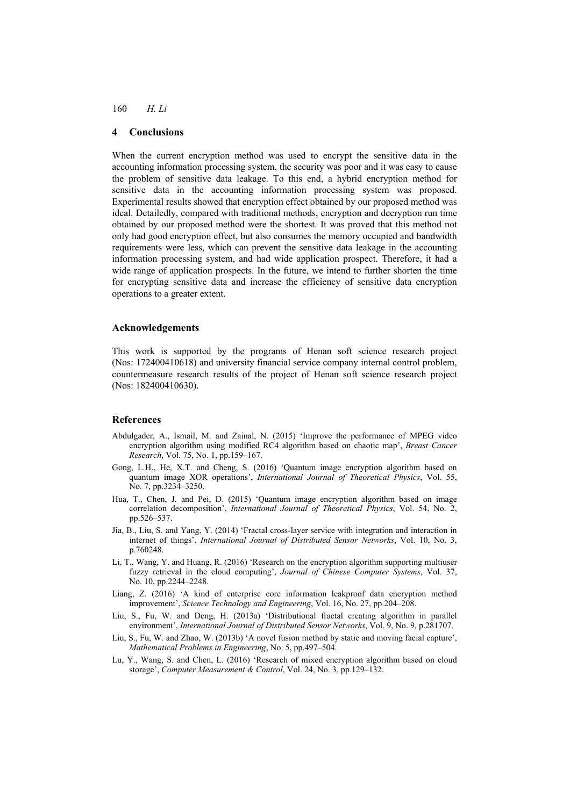#### **4 Conclusions**

When the current encryption method was used to encrypt the sensitive data in the accounting information processing system, the security was poor and it was easy to cause the problem of sensitive data leakage. To this end, a hybrid encryption method for sensitive data in the accounting information processing system was proposed. Experimental results showed that encryption effect obtained by our proposed method was ideal. Detailedly, compared with traditional methods, encryption and decryption run time obtained by our proposed method were the shortest. It was proved that this method not only had good encryption effect, but also consumes the memory occupied and bandwidth requirements were less, which can prevent the sensitive data leakage in the accounting information processing system, and had wide application prospect. Therefore, it had a wide range of application prospects. In the future, we intend to further shorten the time for encrypting sensitive data and increase the efficiency of sensitive data encryption operations to a greater extent.

#### **Acknowledgements**

This work is supported by the programs of Henan soft science research project (Nos: 172400410618) and university financial service company internal control problem, countermeasure research results of the project of Henan soft science research project (Nos: 182400410630).

### **References**

- Abdulgader, A., Ismail, M. and Zainal, N. (2015) 'Improve the performance of MPEG video encryption algorithm using modified RC4 algorithm based on chaotic map', *Breast Cancer Research*, Vol. 75, No. 1, pp.159–167.
- Gong, L.H., He, X.T. and Cheng, S. (2016) 'Quantum image encryption algorithm based on quantum image XOR operations', *International Journal of Theoretical Physics*, Vol. 55, No. 7, pp.3234–3250.
- Hua, T., Chen, J. and Pei, D. (2015) 'Quantum image encryption algorithm based on image correlation decomposition', *International Journal of Theoretical Physics*, Vol. 54, No. 2, pp.526–537.
- Jia, B., Liu, S. and Yang, Y. (2014) 'Fractal cross-layer service with integration and interaction in internet of things', *International Journal of Distributed Sensor Networks*, Vol. 10, No. 3, p.760248.
- Li, T., Wang, Y. and Huang, R. (2016) 'Research on the encryption algorithm supporting multiuser fuzzy retrieval in the cloud computing', *Journal of Chinese Computer Systems*, Vol. 37, No. 10, pp.2244–2248.
- Liang, Z. (2016) 'A kind of enterprise core information leakproof data encryption method improvement', *Science Technology and Engineering*, Vol. 16, No. 27, pp.204–208.
- Liu, S., Fu, W. and Deng, H. (2013a) 'Distributional fractal creating algorithm in parallel environment', *International Journal of Distributed Sensor Networks*, Vol. 9, No. 9, p.281707.
- Liu, S., Fu, W. and Zhao, W. (2013b) 'A novel fusion method by static and moving facial capture', *Mathematical Problems in Engineering*, No. 5, pp.497–504.
- Lu, Y., Wang, S. and Chen, L. (2016) 'Research of mixed encryption algorithm based on cloud storage', *Computer Measurement & Control*, Vol. 24, No. 3, pp.129–132.